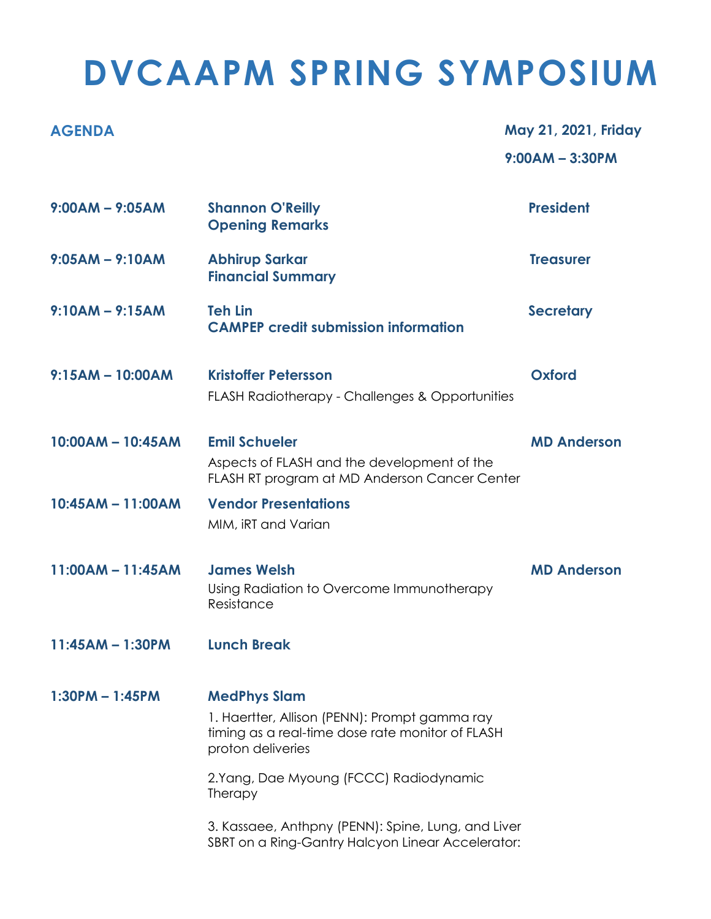# **DVCAAPM SPRING SYMPOSIUM**

## **AGENDA May 21, 2021, Friday 9:00AM – 3:30PM**

| $9:00AM - 9:05AM$   | <b>Shannon O'Reilly</b><br><b>Opening Remarks</b>                                                                                             | <b>President</b>   |
|---------------------|-----------------------------------------------------------------------------------------------------------------------------------------------|--------------------|
| $9:05AM - 9:10AM$   | <b>Abhirup Sarkar</b><br><b>Financial Summary</b>                                                                                             | <b>Treasurer</b>   |
| $9:10AM - 9:15AM$   | <b>Teh Lin</b><br><b>CAMPEP credit submission information</b>                                                                                 | <b>Secretary</b>   |
| $9:15AM - 10:00AM$  | <b>Kristoffer Petersson</b><br><b>FLASH Radiotherapy - Challenges &amp; Opportunities</b>                                                     | Oxford             |
| $10:00AM - 10:45AM$ | <b>Emil Schueler</b><br>Aspects of FLASH and the development of the<br>FLASH RT program at MD Anderson Cancer Center                          | <b>MD Anderson</b> |
| $10:45AM - 11:00AM$ | <b>Vendor Presentations</b><br>MIM, iRT and Varian                                                                                            |                    |
| $11:00AM - 11:45AM$ | <b>James Welsh</b><br>Using Radiation to Overcome Immunotherapy<br>Resistance                                                                 | <b>MD Anderson</b> |
| $11:45AM - 1:30PM$  | <b>Lunch Break</b>                                                                                                                            |                    |
| $1:30PM - 1:45PM$   | <b>MedPhys Slam</b><br>1. Haertter, Allison (PENN): Prompt gamma ray<br>timing as a real-time dose rate monitor of FLASH<br>proton deliveries |                    |
|                     | 2. Yang, Dae Myoung (FCCC) Radiodynamic<br>Therapy                                                                                            |                    |
|                     | 3. Kassaee, Anthpny (PENN): Spine, Lung, and Liver<br>SBRT on a Ring-Gantry Halcyon Linear Accelerator:                                       |                    |